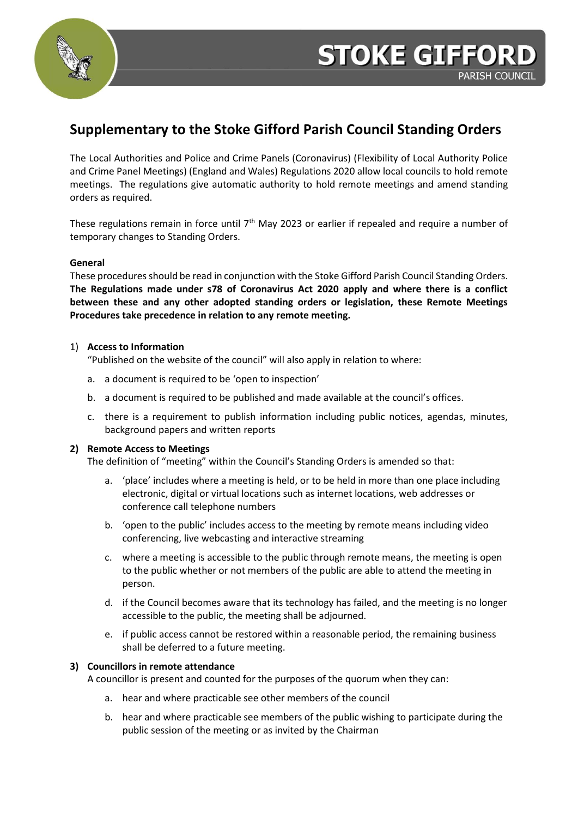

# **Supplementary to the Stoke Gifford Parish Council Standing Orders**

The Local Authorities and Police and Crime Panels (Coronavirus) (Flexibility of Local Authority Police and Crime Panel Meetings) (England and Wales) Regulations 2020 allow local councils to hold remote meetings. The regulations give automatic authority to hold remote meetings and amend standing orders as required.

These regulations remain in force until 7<sup>th</sup> May 2023 or earlier if repealed and require a number of temporary changes to Standing Orders.

# **General**

These procedures should be read in conjunction with the Stoke Gifford Parish Council Standing Orders. **The Regulations made under s78 of Coronavirus Act 2020 apply and where there is a conflict between these and any other adopted standing orders or legislation, these Remote Meetings Procedures take precedence in relation to any remote meeting.** 

# 1) **Access to Information**

"Published on the website of the council" will also apply in relation to where:

- a. a document is required to be 'open to inspection'
- b. a document is required to be published and made available at the council's offices.
- c. there is a requirement to publish information including public notices, agendas, minutes, background papers and written reports

# **2) Remote Access to Meetings**

The definition of "meeting" within the Council's Standing Orders is amended so that:

- a. 'place' includes where a meeting is held, or to be held in more than one place including electronic, digital or virtual locations such as internet locations, web addresses or conference call telephone numbers
- b. 'open to the public' includes access to the meeting by remote means including video conferencing, live webcasting and interactive streaming
- c. where a meeting is accessible to the public through remote means, the meeting is open to the public whether or not members of the public are able to attend the meeting in person.
- d. if the Council becomes aware that its technology has failed, and the meeting is no longer accessible to the public, the meeting shall be adjourned.
- e. if public access cannot be restored within a reasonable period, the remaining business shall be deferred to a future meeting.

# **3) Councillors in remote attendance**

A councillor is present and counted for the purposes of the quorum when they can:

- a. hear and where practicable see other members of the council
- b. hear and where practicable see members of the public wishing to participate during the public session of the meeting or as invited by the Chairman